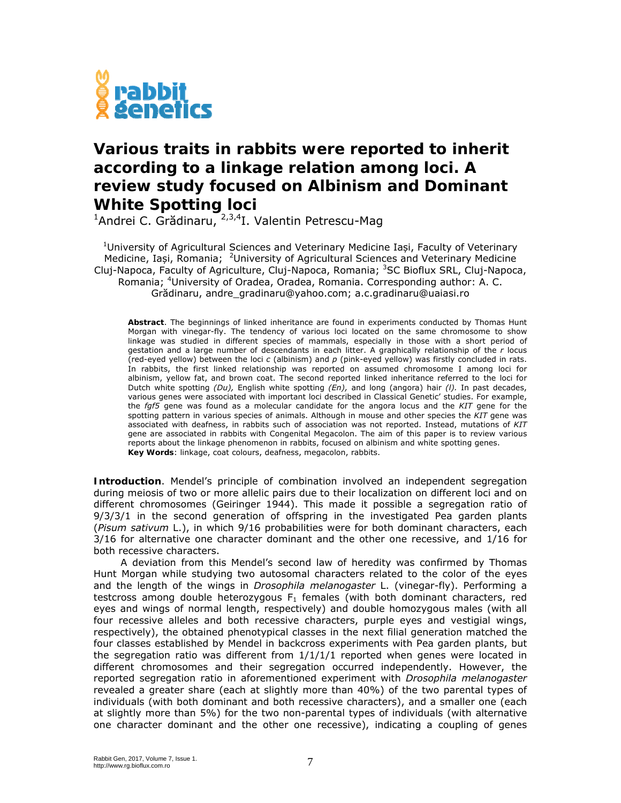

## **Various traits in rabbits were reported to inherit according to a linkage relation among loci. A review study focused on Albinism and Dominant White Spotting loci**

<sup>1</sup>Andrei C. Grădinaru, <sup>2,3,4</sup>I. Valentin Petrescu-Mag

<sup>1</sup>University of Agricultural Sciences and Veterinary Medicine Iași, Faculty of Veterinary Medicine, Iași, Romania; <sup>2</sup>University of Agricultural Sciences and Veterinary Medicine Cluj-Napoca, Faculty of Agriculture, Cluj-Napoca, Romania; <sup>3</sup>SC Bioflux SRL, Cluj-Napoca, Romania; <sup>4</sup>University of Oradea, Oradea, Romania. Corresponding author: A. C. Grădinaru, andre\_gradinaru@yahoo.com; a.c.gradinaru@uaiasi.ro

**Abstract**. The beginnings of linked inheritance are found in experiments conducted by Thomas Hunt Morgan with vinegar-fly. The tendency of various loci located on the same chromosome to show linkage was studied in different species of mammals, especially in those with a short period of gestation and a large number of descendants in each litter. A graphically relationship of the *r* locus (red-eyed yellow) between the loci *c* (albinism) and *p* (pink-eyed yellow) was firstly concluded in rats. In rabbits, the first linked relationship was reported on assumed chromosome I among loci for albinism, yellow fat, and brown coat. The second reported linked inheritance referred to the loci for Dutch white spotting *(Du),* English white spotting *(En),* and long (angora) hair *(l).* In past decades, various genes were associated with important loci described in Classical Genetic' studies. For example, the *fgf5* gene was found as a molecular candidate for the angora locus and the *KIT* gene for the spotting pattern in various species of animals. Although in mouse and other species the *KIT* gene was associated with deafness, in rabbits such of association was not reported. Instead, mutations of *KIT*  gene are associated in rabbits with Congenital Megacolon. The aim of this paper is to review various reports about the linkage phenomenon in rabbits, focused on albinism and white spotting genes. **Key Words**: linkage, coat colours, deafness, megacolon, rabbits.

**Introduction**. Mendel's principle of combination involved an independent segregation during meiosis of two or more allelic pairs due to their localization on different loci and on different chromosomes (Geiringer 1944). This made it possible a segregation ratio of 9/3/3/1 in the second generation of offspring in the investigated Pea garden plants (*Pisum sativum* L.), in which 9/16 probabilities were for both dominant characters, each 3/16 for alternative one character dominant and the other one recessive, and 1/16 for both recessive characters.

A deviation from this Mendel's second law of heredity was confirmed by Thomas Hunt Morgan while studying two autosomal characters related to the color of the eyes and the length of the wings in *Drosophila melanogaster* L. (vinegar-fly). Performing a testcross among double heterozygous  $F_1$  females (with both dominant characters, red eyes and wings of normal length, respectively) and double homozygous males (with all four recessive alleles and both recessive characters, purple eyes and vestigial wings, respectively), the obtained phenotypical classes in the next filial generation matched the four classes established by Mendel in backcross experiments with Pea garden plants, but the segregation ratio was different from  $1/1/1/1$  reported when genes were located in different chromosomes and their segregation occurred independently. However, the reported segregation ratio in aforementioned experiment with *Drosophila melanogaster* revealed a greater share (each at slightly more than 40%) of the two parental types of individuals (with both dominant and both recessive characters), and a smaller one (each at slightly more than 5%) for the two non-parental types of individuals (with alternative one character dominant and the other one recessive), indicating a coupling of genes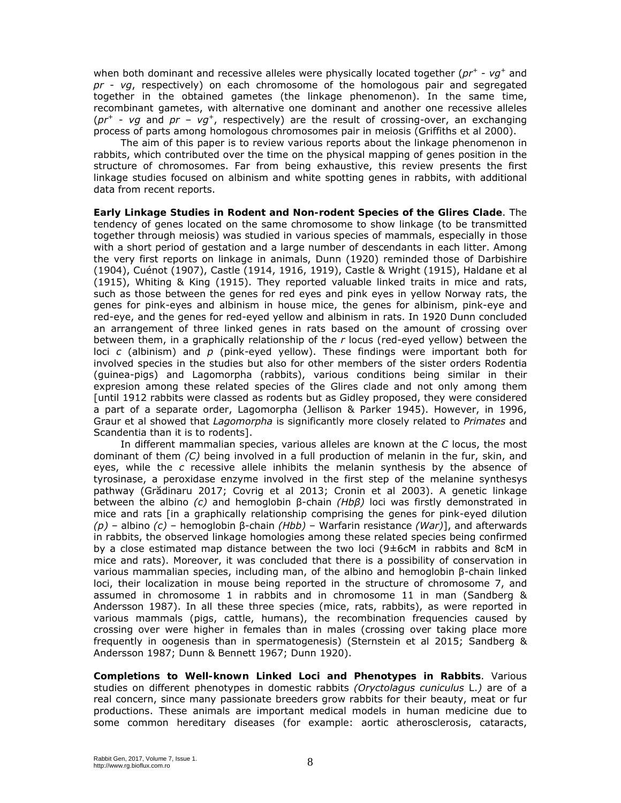when both dominant and recessive alleles were physically located together (*pr+* - *vg<sup>+</sup>* and *pr* - *vg*, respectively) on each chromosome of the homologous pair and segregated together in the obtained gametes (the linkage phenomenon). In the same time, recombinant gametes, with alternative one dominant and another one recessive alleles  $(pr^+ - vq$  and  $pr - vq^+$ , respectively) are the result of crossing-over, an exchanging process of parts among homologous chromosomes pair in meiosis (Griffiths et al 2000).

The aim of this paper is to review various reports about the linkage phenomenon in rabbits, which contributed over the time on the physical mapping of genes position in the structure of chromosomes. Far from being exhaustive, this review presents the first linkage studies focused on albinism and white spotting genes in rabbits, with additional data from recent reports.

**Early Linkage Studies in Rodent and Non-rodent Species of the Glires Clade**. The tendency of genes located on the same chromosome to show linkage (to be transmitted together through meiosis) was studied in various species of mammals, especially in those with a short period of gestation and a large number of descendants in each litter. Among the very first reports on linkage in animals, Dunn (1920) reminded those of Darbishire (1904), Cuénot (1907), Castle (1914, 1916, 1919), Castle & Wright (1915), Haldane et al (1915), Whiting & King (1915). They reported valuable linked traits in mice and rats, such as those between the genes for red eyes and pink eyes in yellow Norway rats, the genes for pink-eyes and albinism in house mice, the genes for albinism, pink-eye and red-eye, and the genes for red-eyed yellow and albinism in rats. In 1920 Dunn concluded an arrangement of three linked genes in rats based on the amount of crossing over between them, in a graphically relationship of the *r* locus (red-eyed yellow) between the loci *c* (albinism) and *p* (pink-eyed yellow). These findings were important both for involved species in the studies but also for other members of the sister orders Rodentia (guinea-pigs) and Lagomorpha (rabbits), various conditions being similar in their expresion among these related species of the Glires clade and not only among them [until 1912 rabbits were classed as rodents but as Gidley proposed, they were considered a part of a separate order, Lagomorpha (Jellison & Parker 1945). However, in 1996, Graur et al showed that *Lagomorpha* is significantly more closely related to *Primates* and Scandentia than it is to rodents].

In different mammalian species, various alleles are known at the *C* locus, the most dominant of them *(C)* being involved in a full production of melanin in the fur, skin, and eyes, while the *c* recessive allele inhibits the melanin synthesis by the absence of tyrosinase, a peroxidase enzyme involved in the first step of the melanine synthesys pathway (Grădinaru 2017; Covrig et al 2013; Cronin et al 2003). A genetic linkage between the albino *(c)* and hemoglobin β-chain *(Hbβ)* loci was firstly demonstrated in mice and rats [in a graphically relationship comprising the genes for pink-eyed dilution *(p)* – albino *(c)* – hemoglobin β-chain *(Hbb)* – Warfarin resistance *(War)*], and afterwards in rabbits, the observed linkage homologies among these related species being confirmed by a close estimated map distance between the two loci (9±6cM in rabbits and 8cM in mice and rats). Moreover, it was concluded that there is a possibility of conservation in various mammalian species, including man, of the albino and hemoglobin β-chain linked loci, their localization in mouse being reported in the structure of chromosome 7, and assumed in chromosome 1 in rabbits and in chromosome 11 in man (Sandberg & Andersson 1987). In all these three species (mice, rats, rabbits), as were reported in various mammals (pigs, cattle, humans), the recombination frequencies caused by crossing over were higher in females than in males (crossing over taking place more frequently in oogenesis than in spermatogenesis) (Sternstein et al 2015; Sandberg & Andersson 1987; Dunn & Bennett 1967; Dunn 1920).

**Completions to Well-known Linked Loci and Phenotypes in Rabbits**. Various studies on different phenotypes in domestic rabbits *(Oryctolagus cuniculus* L.*)* are of a real concern, since many passionate breeders grow rabbits for their beauty, meat or fur productions. These animals are important medical models in human medicine due to some common hereditary diseases (for example: aortic atherosclerosis, cataracts,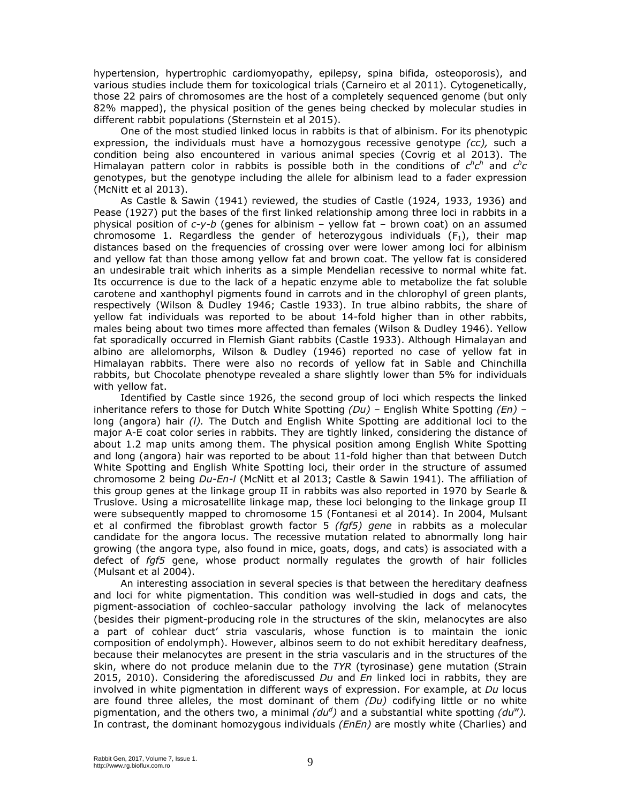hypertension, hypertrophic cardiomyopathy, epilepsy, spina bifida, osteoporosis), and various studies include them for toxicological trials (Carneiro et al 2011). Cytogenetically, those 22 pairs of chromosomes are the host of a completely sequenced genome (but only 82% mapped), the physical position of the genes being checked by molecular studies in different rabbit populations (Sternstein et al 2015).

One of the most studied linked locus in rabbits is that of albinism. For its phenotypic expression, the individuals must have a homozygous recessive genotype *(cc),* such a condition being also encountered in various animal species (Covrig et al 2013). The Himalayan pattern color in rabbits is possible both in the conditions of  $c^h c^h$  and  $c^h c$ genotypes, but the genotype including the allele for albinism lead to a fader expression (McNitt et al 2013).

As Castle & Sawin (1941) reviewed, the studies of Castle (1924, 1933, 1936) and Pease (1927) put the bases of the first linked relationship among three loci in rabbits in a physical position of *c-y-b* (genes for albinism – yellow fat – brown coat) on an assumed chromosome 1. Regardless the gender of heterozygous individuals  $(F_1)$ , their map distances based on the frequencies of crossing over were lower among loci for albinism and yellow fat than those among yellow fat and brown coat. The yellow fat is considered an undesirable trait which inherits as a simple Mendelian recessive to normal white fat. Its occurrence is due to the lack of a hepatic enzyme able to metabolize the fat soluble carotene and xanthophyl pigments found in carrots and in the chlorophyl of green plants, respectively (Wilson & Dudley 1946; Castle 1933). In true albino rabbits, the share of yellow fat individuals was reported to be about 14-fold higher than in other rabbits, males being about two times more affected than females (Wilson & Dudley 1946). Yellow fat sporadically occurred in Flemish Giant rabbits (Castle 1933). Although Himalayan and albino are allelomorphs, Wilson & Dudley (1946) reported no case of yellow fat in Himalayan rabbits. There were also no records of yellow fat in Sable and Chinchilla rabbits, but Chocolate phenotype revealed a share slightly lower than 5% for individuals with yellow fat.

Identified by Castle since 1926, the second group of loci which respects the linked inheritance refers to those for Dutch White Spotting *(Du) –* English White Spotting *(En) –*  long (angora) hair *(l).* The Dutch and English White Spotting are additional loci to the major A-E coat color series in rabbits. They are tightly linked, considering the distance of about 1.2 map units among them. The physical position among English White Spotting and long (angora) hair was reported to be about 11-fold higher than that between Dutch White Spotting and English White Spotting loci, their order in the structure of assumed chromosome 2 being *Du-En-l* (McNitt et al 2013; Castle & Sawin 1941). The affiliation of this group genes at the linkage group II in rabbits was also reported in 1970 by Searle & Truslove. Using a microsatellite linkage map, these loci belonging to the linkage group II were subsequently mapped to chromosome 15 (Fontanesi et al 2014). In 2004, Mulsant et al confirmed the fibroblast growth factor 5 *(fgf5) gene* in rabbits as a molecular candidate for the angora locus. The recessive mutation related to abnormally long hair growing (the angora type, also found in mice, goats, dogs, and cats) is associated with a defect of *fgf5* gene, whose product normally regulates the growth of hair follicles (Mulsant et al 2004).

An interesting association in several species is that between the hereditary deafness and loci for white pigmentation. This condition was well-studied in dogs and cats, the pigment-association of cochleo-saccular pathology involving the lack of melanocytes (besides their pigment-producing role in the structures of the skin, melanocytes are also a part of cohlear duct' stria vascularis, whose function is to maintain the ionic composition of endolymph). However, albinos seem to do not exhibit hereditary deafness, because their melanocytes are present in the stria vascularis and in the structures of the skin, where do not produce melanin due to the *TYR* (tyrosinase) gene mutation (Strain 2015, 2010). Considering the aforediscussed *Du* and *En* linked loci in rabbits, they are involved in white pigmentation in different ways of expression. For example, at *Du* locus are found three alleles, the most dominant of them *(Du)* codifying little or no white pigmentation, and the others two, a minimal *(dud )* and a substantial white spotting *(duw).*  In contrast, the dominant homozygous individuals *(EnEn)* are mostly white (Charlies) and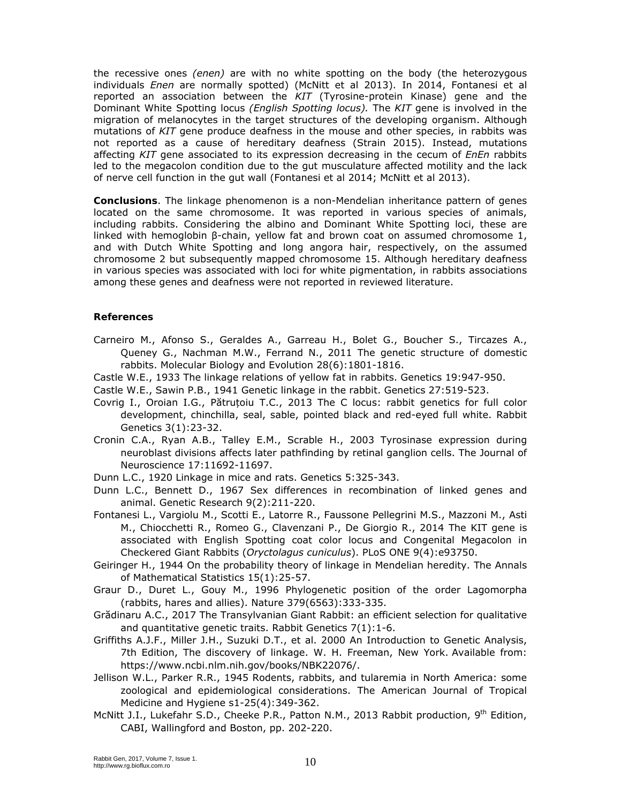the recessive ones *(enen)* are with no white spotting on the body (the heterozygous individuals *Enen* are normally spotted) (McNitt et al 2013). In 2014, Fontanesi et al reported an association between the *KIT* (Tyrosine-protein Kinase) gene and the Dominant White Spotting locus *(English Spotting locus).* The *KIT* gene is involved in the migration of melanocytes in the target structures of the developing organism. Although mutations of *KIT* gene produce deafness in the mouse and other species, in rabbits was not reported as a cause of hereditary deafness (Strain 2015). Instead, mutations affecting *KIT* gene associated to its expression decreasing in the cecum of *EnEn* rabbits led to the megacolon condition due to the gut musculature affected motility and the lack of nerve cell function in the gut wall (Fontanesi et al 2014; McNitt et al 2013).

**Conclusions**. The linkage phenomenon is a non-Mendelian inheritance pattern of genes located on the same chromosome. It was reported in various species of animals, including rabbits. Considering the albino and Dominant White Spotting loci, these are linked with hemoglobin β-chain, yellow fat and brown coat on assumed chromosome 1, and with Dutch White Spotting and long angora hair, respectively, on the assumed chromosome 2 but subsequently mapped chromosome 15. Although hereditary deafness in various species was associated with loci for white pigmentation, in rabbits associations among these genes and deafness were not reported in reviewed literature.

## **References**

- Carneiro M., Afonso S., Geraldes A., Garreau H., Bolet G., Boucher S., Tircazes A., Queney G., Nachman M.W., Ferrand N., 2011 The genetic structure of domestic rabbits. Molecular Biology and Evolution 28(6):1801-1816.
- Castle W.E., 1933 The linkage relations of yellow fat in rabbits. Genetics 19:947-950.
- Castle W.E., Sawin P.B., 1941 Genetic linkage in the rabbit. Genetics 27:519-523.
- Covrig I., Oroian I.G., Pătruțoiu T.C., 2013 The C locus: rabbit genetics for full color development, chinchilla, seal, sable, pointed black and red-eyed full white. Rabbit Genetics 3(1):23-32.
- Cronin C.A., Ryan A.B., Talley E.M., Scrable H., 2003 Tyrosinase expression during neuroblast divisions affects later pathfinding by retinal ganglion cells. The Journal of Neuroscience 17:11692-11697.
- Dunn L.C., 1920 Linkage in mice and rats. Genetics 5:325-343.
- Dunn L.C., Bennett D., 1967 Sex differences in recombination of linked genes and animal. Genetic Research 9(2):211-220.
- Fontanesi L., Vargiolu M., Scotti E., Latorre R., Faussone Pellegrini M.S., Mazzoni M., Asti M., Chiocchetti R., Romeo G., Clavenzani P., De Giorgio R., 2014 The KIT gene is associated with English Spotting coat color locus and Congenital Megacolon in Checkered Giant Rabbits (*Oryctolagus cuniculus*). PLoS ONE 9(4):e93750.
- Geiringer H., 1944 On the probability theory of linkage in Mendelian heredity. The Annals of Mathematical Statistics 15(1):25-57.
- Graur D., Duret L., Gouy M., 1996 Phylogenetic position of the order Lagomorpha (rabbits, hares and allies). Nature 379(6563):333-335.
- Grădinaru A.C., 2017 The Transylvanian Giant Rabbit: an efficient selection for qualitative and quantitative genetic traits. Rabbit Genetics 7(1):1-6.
- Griffiths A.J.F., Miller J.H., Suzuki D.T., et al. 2000 An Introduction to Genetic Analysis, 7th Edition, The discovery of linkage. W. H. Freeman, New York. Available from: https://www.ncbi.nlm.nih.gov/books/NBK22076/.
- Jellison W.L., Parker R.R., 1945 Rodents, rabbits, and tularemia in North America: some zoological and epidemiological considerations. The American Journal of Tropical Medicine and Hygiene s1-25(4):349-362.
- McNitt J.I., Lukefahr S.D., Cheeke P.R., Patton N.M., 2013 Rabbit production, 9<sup>th</sup> Edition, CABI, Wallingford and Boston, pp. 202-220.